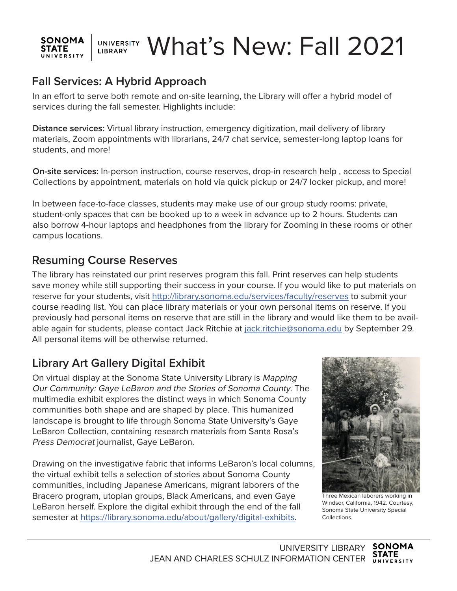### UNIVERSITY What's New: Fall 2021 **SONOMA STATE** LIBRARY UNIVERSITY

# **Fall Services: A Hybrid Approach**

In an effort to serve both remote and on-site learning, the Library will offer a hybrid model of services during the fall semester. Highlights include:

**Distance services:** Virtual library instruction, emergency digitization, mail delivery of library materials, Zoom appointments with librarians, 24/7 chat service, semester-long laptop loans for students, and more!

**On-site services:** In-person instruction, course reserves, drop-in research help , access to Special Collections by appointment, materials on hold via quick pickup or 24/7 locker pickup, and more!

In between face-to-face classes, students may make use of our group study rooms: private, student-only spaces that can be booked up to a week in advance up to 2 hours. Students can also borrow 4-hour laptops and headphones from the library for Zooming in these rooms or other campus locations.

## **Resuming Course Reserves**

The library has reinstated our print reserves program this fall. Print reserves can help students save money while still supporting their success in your course. If you would like to put materials on reserve for your students, visit http://library.sonoma.edu/services/faculty/reserves to submit your course reading list. You can place library materials or your own personal items on reserve. If you previously had personal items on reserve that are still in the library and would like them to be available again for students, please contact Jack Ritchie at jack.ritchie@sonoma.edu by September 29. All personal items will be otherwise returned.

# **Library Art Gallery Digital Exhibit**

On virtual display at the Sonoma State University Library is Mapping Our Community: Gaye LeBaron and the Stories of Sonoma County. The multimedia exhibit explores the distinct ways in which Sonoma County communities both shape and are shaped by place. This humanized landscape is brought to life through Sonoma State University's Gaye LeBaron Collection, containing research materials from Santa Rosa's Press Democrat journalist, Gaye LeBaron.

Drawing on the investigative fabric that informs LeBaron's local columns, the virtual exhibit tells a selection of stories about Sonoma County communities, including Japanese Americans, migrant laborers of the Bracero program, utopian groups, Black Americans, and even Gaye LeBaron herself. Explore the digital exhibit through the end of the fall semester at https://library.sonoma.edu/about/gallery/digital-exhibits.



Three Mexican laborers working in Windsor, California, 1942. Courtesy, Sonoma State University Special Collections.